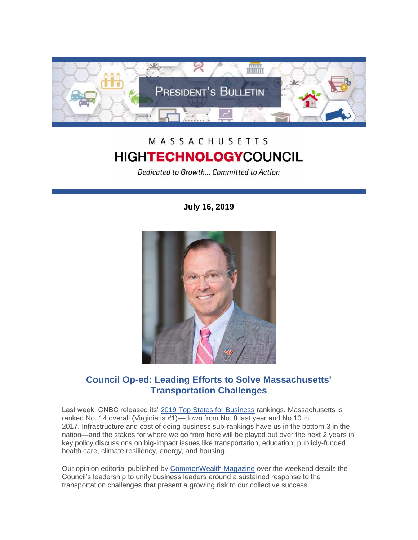

## MASSACHUSETTS **HIGHTECHNOLOGYCOUNCIL**

Dedicated to Growth... Committed to Action

## **July 16, 2019**



## **Council Op-ed: Leading Efforts to Solve Massachusetts' Transportation Challenges**

Last week, CNBC released its' [2019 Top States for Business](https://www.cnbc.com/2019/07/10/americas-top-states-for-business-2019.html) rankings. Massachusetts is ranked No. 14 overall (Virginia is #1)—down from No. 8 last year and No.10 in 2017. Infrastructure and cost of doing business sub-rankings have us in the bottom 3 in the nation—and the stakes for where we go from here will be played out over the next 2 years in key policy discussions on big-impact issues like transportation, education, publicly-funded health care, climate resiliency, energy, and housing.

Our opinion editorial published by [CommonWealth Magazine](http://www.mhtc.org/2019/07/14/by-christopher-r-anderson/) over the weekend details the Council's leadership to unify business leaders around a sustained response to the transportation challenges that present a growing risk to our collective success.